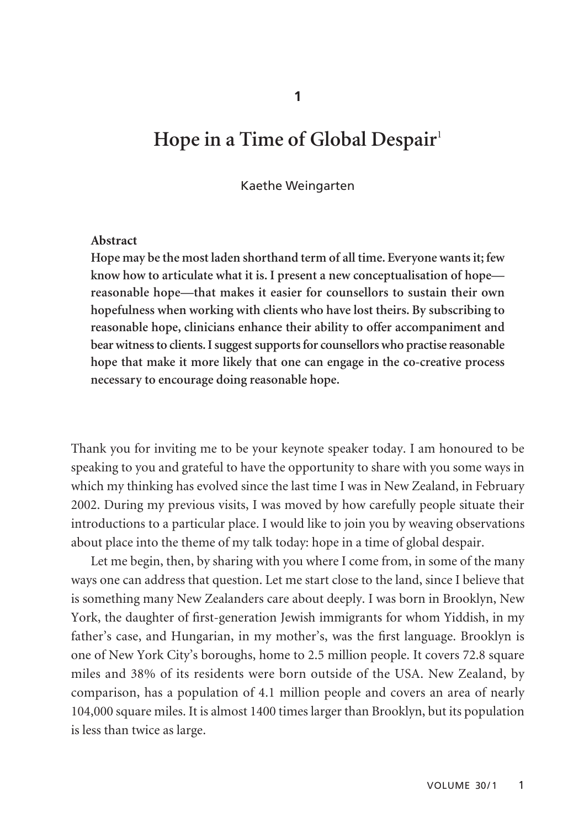**1**

# **Hope in a Time of Global Despair**<sup>1</sup>

#### Kaethe Weingarten

#### **Abstract**

**Hope may be the most laden shorthand term of all time. Everyone wants it; few know how to articulate what it is. I present a new conceptualisation of hope reasonable hope—that makes it easier for counsellors to sustain their own hopefulness when working with clients who have lost theirs. By subscribing to reasonable hope, clinicians enhance their ability to offer accompaniment and bear witness to clients. I suggest supports for counsellors who practise reasonable hope that make it more likely that one can engage in the co-creative process necessary to encourage doing reasonable hope.** 

Thank you for inviting me to be your keynote speaker today. I am honoured to be speaking to you and grateful to have the opportunity to share with you some ways in which my thinking has evolved since the last time I was in New Zealand, in February 2002. During my previous visits, I was moved by how carefully people situate their introductions to a particular place. I would like to join you by weaving observations about place into the theme of my talk today: hope in a time of global despair.

Let me begin, then, by sharing with you where I come from, in some of the many ways one can address that question. Let me start close to the land, since I believe that is something many New Zealanders care about deeply. I was born in Brooklyn, New York, the daughter of first-generation Jewish immigrants for whom Yiddish, in my father's case, and Hungarian, in my mother's, was the first language. Brooklyn is one of New York City's boroughs, home to 2.5 million people. It covers 72.8 square miles and 38% of its residents were born outside of the USA. New Zealand, by comparison, has a population of 4.1 million people and covers an area of nearly 104,000 square miles. It is almost 1400 times larger than Brooklyn, but its population is less than twice as large.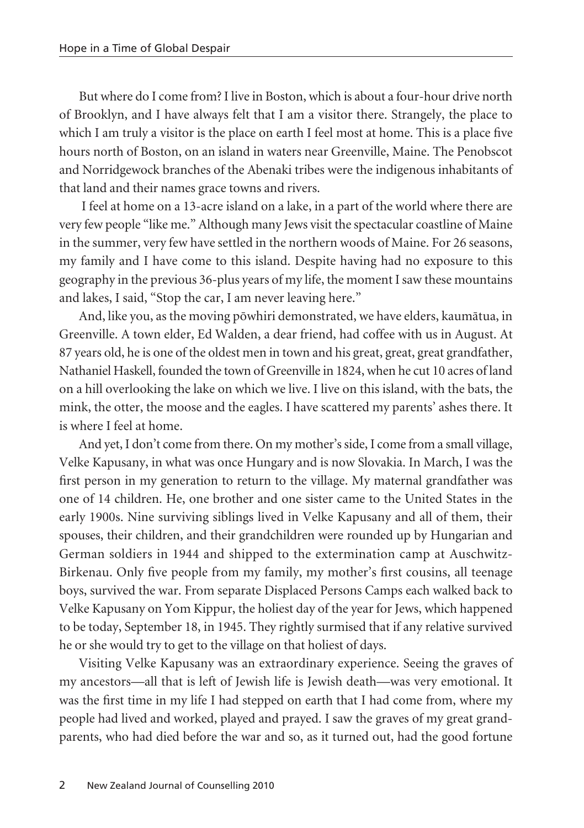But where do I come from? I live in Boston, which is about a four-hour drive north of Brooklyn, and I have always felt that I am a visitor there. Strangely, the place to which I am truly a visitor is the place on earth I feel most at home. This is a place five hours north of Boston, on an island in waters near Greenville, Maine. The Penobscot and Norridgewock branches of the Abenaki tribes were the indigenous inhabitants of that land and their names grace towns and rivers.

I feel at home on a 13-acre island on a lake, in a part of the world where there are very few people "like me." Although many Jews visit the spectacular coastline of Maine in the summer, very few have settled in the northern woods of Maine. For 26 seasons, my family and I have come to this island. Despite having had no exposure to this geography in the previous 36-plus years of my life, the moment I saw these mountains and lakes, I said, "Stop the car, I am never leaving here."

And, like you, as the moving pöwhiri demonstrated, we have elders, kaumätua, in Greenville. A town elder, Ed Walden, a dear friend, had coffee with us in August. At 87 years old, he is one of the oldest men in town and his great, great, great grandfather, Nathaniel Haskell, founded the town of Greenville in 1824, when he cut 10 acres of land on a hill overlooking the lake on which we live. I live on this island, with the bats, the mink, the otter, the moose and the eagles. I have scattered my parents' ashes there. It is where I feel at home.

And yet, I don't come from there. On my mother's side, I come from a small village, Velke Kapusany, in what was once Hungary and is now Slovakia. In March, I was the first person in my generation to return to the village. My maternal grandfather was one of 14 children. He, one brother and one sister came to the United States in the early 1900s. Nine surviving siblings lived in Velke Kapusany and all of them, their spouses, their children, and their grandchildren were rounded up by Hungarian and German soldiers in 1944 and shipped to the extermination camp at Auschwitz-Birkenau. Only five people from my family, my mother's first cousins, all teenage boys, survived the war. From separate Displaced Persons Camps each walked back to Velke Kapusany on Yom Kippur, the holiest day of the year for Jews, which happened to be today, September 18, in 1945. They rightly surmised that if any relative survived he or she would try to get to the village on that holiest of days.

Visiting Velke Kapusany was an extraordinary experience. Seeing the graves of my ancestors—all that is left of Jewish life is Jewish death—was very emotional. It was the first time in my life I had stepped on earth that I had come from, where my people had lived and worked, played and prayed. I saw the graves of my great grandparents, who had died before the war and so, as it turned out, had the good fortune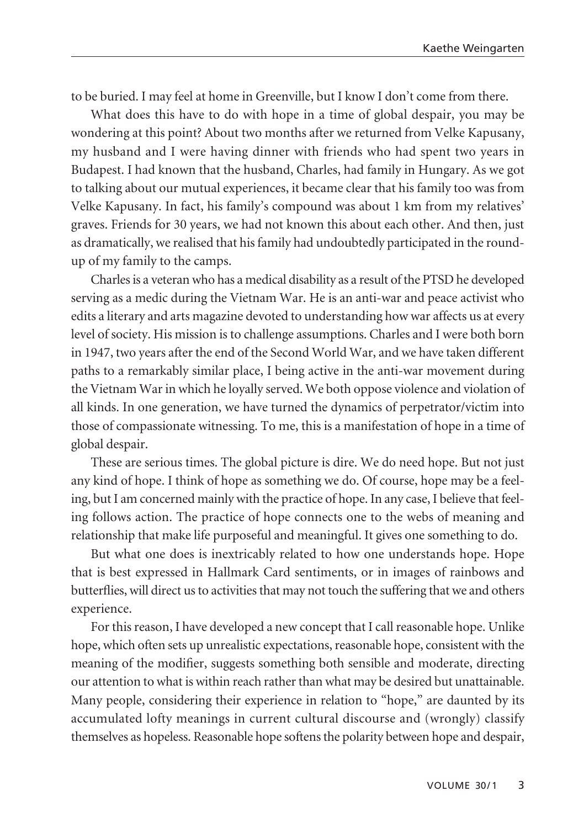to be buried. I may feel at home in Greenville, but I know I don't come from there.

What does this have to do with hope in a time of global despair, you may be wondering at this point? About two months after we returned from Velke Kapusany, my husband and I were having dinner with friends who had spent two years in Budapest. I had known that the husband, Charles, had family in Hungary. As we got to talking about our mutual experiences, it became clear that his family too was from Velke Kapusany. In fact, his family's compound was about 1 km from my relatives' graves. Friends for 30 years, we had not known this about each other. And then, just as dramatically, we realised that his family had undoubtedly participated in the roundup of my family to the camps.

Charles is a veteran who has a medical disability as a result of the PTSD he developed serving as a medic during the Vietnam War. He is an anti-war and peace activist who edits a literary and arts magazine devoted to understanding how war affects us at every level of society. His mission is to challenge assumptions. Charles and I were both born in 1947, two years after the end of the Second World War, and we have taken different paths to a remarkably similar place, I being active in the anti-war movement during the Vietnam War in which he loyally served. We both oppose violence and violation of all kinds. In one generation, we have turned the dynamics of perpetrator/victim into those of compassionate witnessing. To me, this is a manifestation of hope in a time of global despair.

These are serious times. The global picture is dire. We do need hope. But not just any kind of hope. I think of hope as something we do. Of course, hope may be a feeling, but I am concerned mainly with the practice of hope. In any case, I believe that feeling follows action. The practice of hope connects one to the webs of meaning and relationship that make life purposeful and meaningful. It gives one something to do.

But what one does is inextricably related to how one understands hope. Hope that is best expressed in Hallmark Card sentiments, or in images of rainbows and butter flies, will direct us to activities that may not touch the suffering that we and others experience.

For this reason, I have developed a new concept that I call reasonable hope. Unlike hope, which often sets up unrealistic expectations, reasonable hope, consistent with the meaning of the modifier, suggests something both sensible and moderate, directing our attention to what is within reach rather than what may be desired but unattainable. Many people, considering their experience in relation to "hope," are daunted by its accumulated lofty meanings in current cultural discourse and (wrongly) classify themselves as hopeless. Reasonable hope softens the polarity between hope and despair,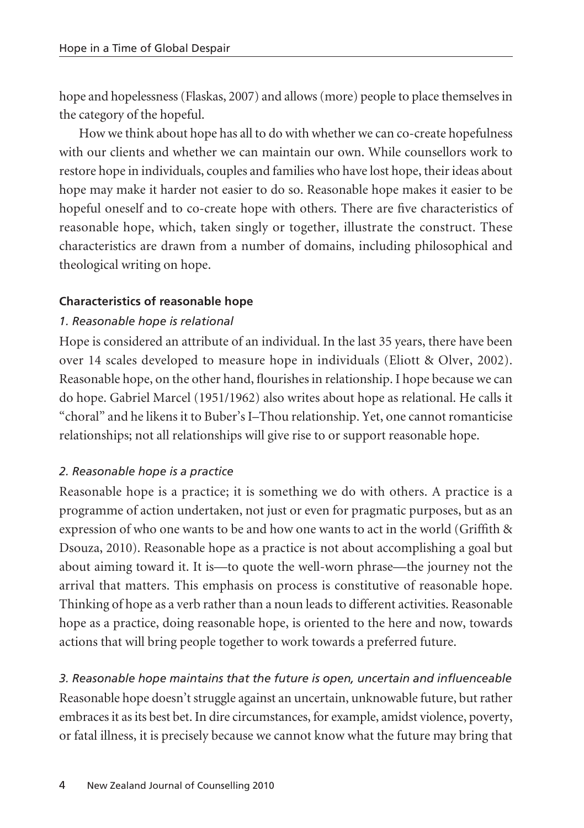hope and hopelessness (Flaskas, 2007) and allows (more) people to place themselves in the category of the hopeful.

How we think about hope has all to do with whether we can co-create hopefulness with our clients and whether we can maintain our own. While counsellors work to restore hope in individuals, couples and families who have lost hope, their ideas about hope may make it harder not easier to do so. Reasonable hope makes it easier to be hopeful oneself and to co-create hope with others. There are five characteristics of reasonable hope, which, taken singly or together, illustrate the construct. These characteristics are drawn from a number of domains, including philosophical and theological writing on hope.

## **Characteristics of reasonable hope**

## *1. Reasonable hope is relational*

Hope is considered an attribute of an individual. In the last 35 years, there have been over 14 scales developed to measure hope in individuals (Eliott & Olver, 2002). Reasonable hope, on the other hand, flourishes in relationship. I hope because we can do hope. Gabriel Marcel (1951/1962) also writes about hope as relational. He calls it "choral" and he likens it to Buber's I–Thou relationship. Yet, one cannot romanticise relationships; not all relationships will give rise to or support reasonable hope.

# *2. Reasonable hope is a practice*

Reasonable hope is a practice; it is something we do with others. A practice is a programme of action undertaken, not just or even for pragmatic purposes, but as an expression of who one wants to be and how one wants to act in the world (Griffith & Dsouza, 2010). Reasonable hope as a practice is not about accomplishing a goal but about aiming toward it. It is—to quote the well-worn phrase—the journey not the arrival that matters. This emphasis on process is constitutive of reasonable hope. Thinking of hope as a verb rather than a noun leads to different activities. Reasonable hope as a practice, doing reasonable hope, is oriented to the here and now, towards actions that will bring people together to work towards a preferred future.

*3. Reasonable hope maintains that the future is open, uncertain and influenceable*  Reasonable hope doesn't struggle against an uncertain, unknowable future, but rather embraces it as its best bet. In dire circumstances, for example, amidst violence, poverty, or fatal illness, it is precisely because we cannot know what the future may bring that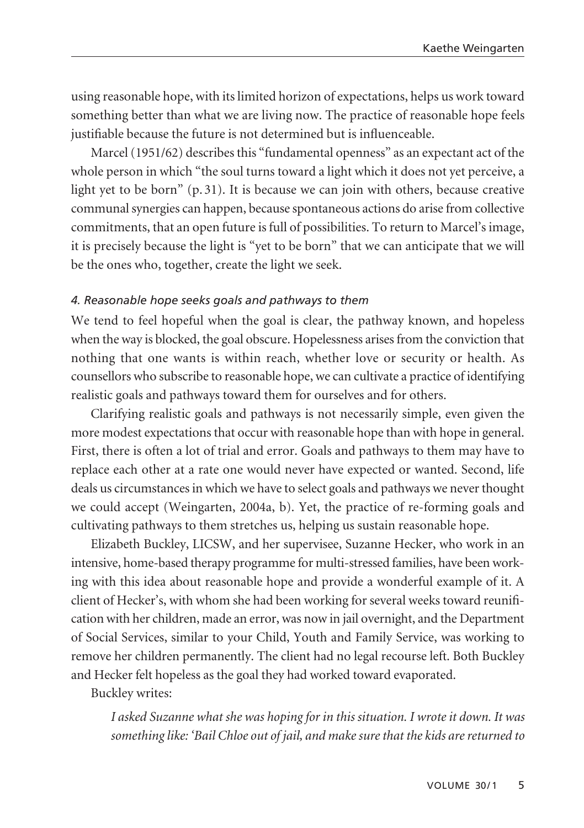using reasonable hope, with its limited horizon of expectations, helps us work toward something better than what we are living now. The practice of reasonable hope feels justifiable because the future is not determined but is influenceable.

Marcel (1951/62) describes this "fundamental openness" as an expectant act of the whole person in which "the soul turns toward a light which it does not yet perceive, a light yet to be born" (p. 31). It is because we can join with others, because creative communal synergies can happen, because spontaneous actions do arise from collective commitments, that an open future is full of possibilities. To return to Marcel's image, it is precisely because the light is "yet to be born" that we can anticipate that we will be the ones who, together, create the light we seek.

#### *4. Reasonable hope seeks goals and pathways to them*

We tend to feel hopeful when the goal is clear, the pathway known, and hopeless when the way is blocked, the goal obscure. Hopelessness arises from the conviction that nothing that one wants is within reach, whether love or security or health. As counsellors who subscribe to reasonable hope, we can cultivate a practice of identifying realistic goals and pathways toward them for ourselves and for others.

Clarifying realistic goals and pathways is not necessarily simple, even given the more modest expectations that occur with reasonable hope than with hope in general. First, there is often a lot of trial and error. Goals and pathways to them may have to replace each other at a rate one would never have expected or wanted. Second, life deals us circumstances in which we have to select goals and pathways we never thought we could accept (Weingarten, 2004a, b). Yet, the practice of re-forming goals and cultivating pathways to them stretches us, helping us sustain reasonable hope.

Elizabeth Buckley, LICSW, and her supervisee, Suzanne Hecker, who work in an intensive, home-based therapy programme for multi-stressed families, have been working with this idea about reasonable hope and provide a wonderful example of it. A client of Hecker's, with whom she had been working for several weeks toward reunification with her children, made an error, was now in jail overnight, and the Department of Social Services, similar to your Child, Youth and Family Service, was working to remove her children permanently. The client had no legal recourse left. Both Buckley and Hecker felt hopeless as the goal they had worked toward evaporated.

Buckley writes:

*I asked Suzanne what she was hoping for in this situation. I wrote it down. It was something like: 'Bail Chloe out of jail, and make sure that the kids are returned to*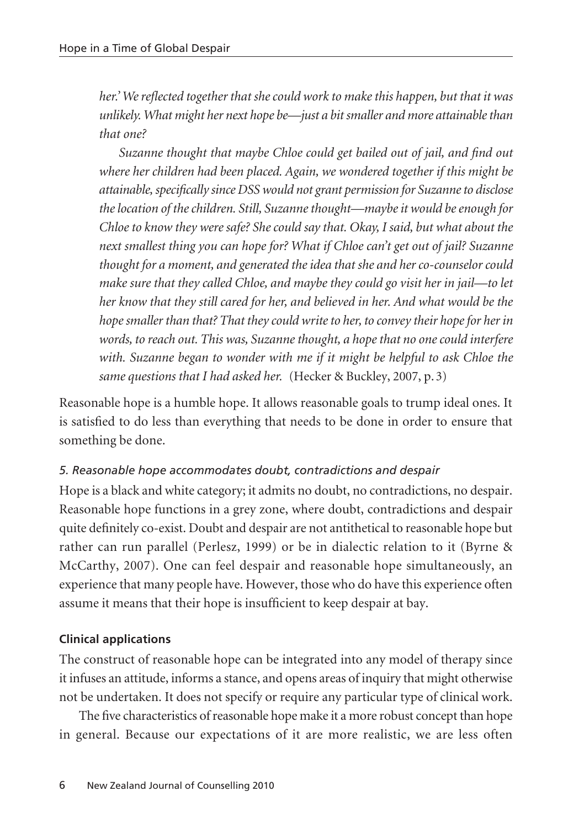*her.' We reflected together that she could work to make this happen, but that it was unlikely. What might her next hope be—just a bit smaller and more attainable than that one?*

*Suzanne thought that maybe Chloe could get bailed out of jail, and find out where her children had been placed. Again, we wondered together if this might be attainable, specifically since DSS would not grant permission for Suzanne to disclose the location of the children. Still, Suzanne thought—maybe it would be enough for Chloe to know they were safe? She could say that. Okay, I said, but what about the next smallest thing you can hope for? What if Chloe can't get out of jail? Suzanne thought for a moment, and generated the idea that she and her co-counselor could make sure that they called Chloe, and maybe they could go visit her in jail—to let her know that they still cared for her, and believed in her. And what would be the hope smaller than that? That they could write to her, to convey their hope for her in words, to reach out. This was, Suzanne thought, a hope that no one could interfere with. Suzanne began to wonder with me if it might be helpful to ask Chloe the same questions that I had asked her.* (Hecker & Buckley, 2007, p. 3)

Reasonable hope is a humble hope. It allows reasonable goals to trump ideal ones. It is satisfied to do less than everything that needs to be done in order to ensure that something be done.

# *5. Reasonable hope accommodates doubt, contradictions and despair*

Hope is a black and white category; it admits no doubt, no contradictions, no despair. Reasonable hope functions in a grey zone, where doubt, contradictions and despair quite definitely co-exist. Doubt and despair are not antithetical to reasonable hope but rather can run parallel (Perlesz, 1999) or be in dialectic relation to it (Byrne & McCarthy, 2007). One can feel despair and reasonable hope simultaneously, an experience that many people have. However, those who do have this experience often assume it means that their hope is insufficient to keep despair at bay.

# **Clinical applications**

The construct of reasonable hope can be integrated into any model of therapy since it infuses an attitude, informs a stance, and opens areas of inquiry that might otherwise not be undertaken. It does not specify or require any particular type of clinical work.

The five characteristics of reasonable hope make it a more robust concept than hope in general. Because our expectations of it are more realistic, we are less often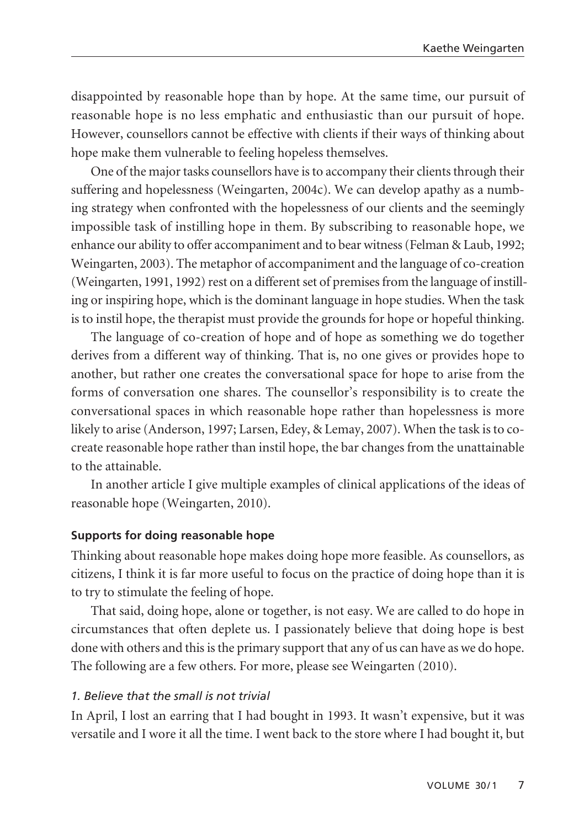disappointed by reasonable hope than by hope. At the same time, our pursuit of reasonable hope is no less emphatic and enthusiastic than our pursuit of hope. However, counsellors cannot be effective with clients if their ways of thinking about hope make them vulnerable to feeling hopeless themselves.

One of the major tasks counsellors have is to accompany their clients through their suffering and hopelessness (Weingarten, 2004c). We can develop apathy as a numb ing strategy when confronted with the hopelessness of our clients and the seemingly impossible task of instilling hope in them. By subscribing to reasonable hope, we enhance our ability to offer accompaniment and to bear witness (Felman & Laub, 1992; Weingarten, 2003). The metaphor of accompaniment and the language of co-creation (Weingarten, 1991, 1992) rest on a different set of premises from the language of instil l ing or inspiring hope, which is the dominant language in hope studies. When the task is to instil hope, the therapist must provide the grounds for hope or hopeful thinking.

The language of co-creation of hope and of hope as something we do together derives from a different way of thinking. That is, no one gives or provides hope to another, but rather one creates the conversational space for hope to arise from the forms of conversation one shares. The counsellor's responsibility is to create the conversational spaces in which reasonable hope rather than hopelessness is more likely to arise (Anderson, 1997; Larsen, Edey, & Lemay, 2007). When the task is to cocreate reasonable hope rather than instil hope, the bar changes from the unattainable to the attainable.

In another article I give multiple examples of clinical applications of the ideas of reasonable hope (Weingarten, 2010).

#### **Supports for doing reasonable hope**

Thinking about reasonable hope makes doing hope more feasible. As counsellors, as citizens, I think it is far more useful to focus on the practice of doing hope than it is to try to stimulate the feeling of hope.

That said, doing hope, alone or together, is not easy. We are called to do hope in circumstances that often deplete us. I passionately believe that doing hope is best done with others and this is the primary support that any of us can have as we do hope. The following are a few others. For more, please see Weingarten (2010).

### *1. Believe that the small is not trivial*

In April, I lost an earring that I had bought in 1993. It wasn't expensive, but it was versatile and I wore it all the time. I went back to the store where I had bought it, but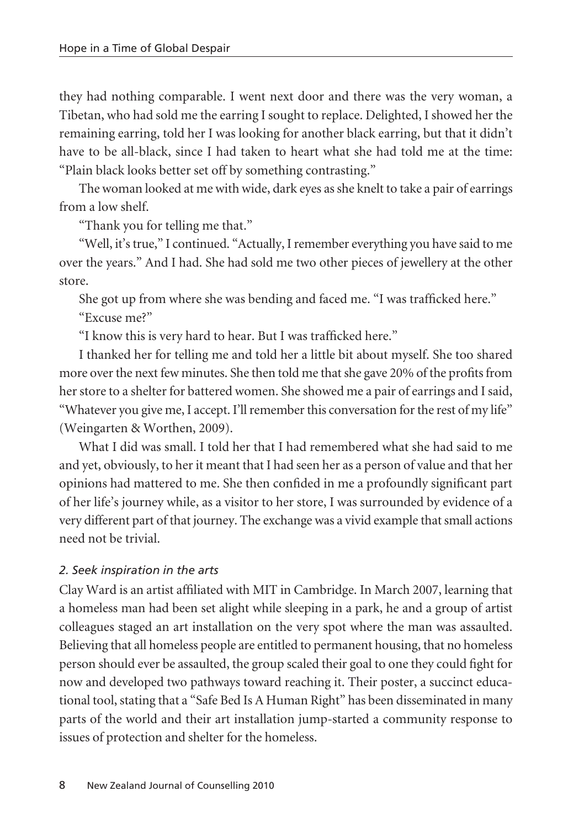they had nothing comparable. I went next door and there was the very woman, a Tibetan, who had sold me the earring I sought to replace. Delighted, I showed her the remaining earring, told her I was looking for another black earring, but that it didn't have to be all-black, since I had taken to heart what she had told me at the time: "Plain black looks better set off by something contrasting."

The woman looked at me with wide, dark eyes as she knelt to take a pair of earrings from a low shelf.

"Thank you for telling me that."

"Well, it's true," I continued. "Actually, I remember everything you have said to me over the years." And I had. She had sold me two other pieces of jewellery at the other store.

She got up from where she was bending and faced me. "I was trafficked here."

"Excuse me?"

"I know this is very hard to hear. But I was trafficked here."

I thanked her for telling me and told her a little bit about myself. She too shared more over the next few minutes. She then told me that she gave 20% of the profits from her store to a shelter for battered women. She showed me a pair of earrings and I said, "Whatever you give me, I accept. I'll remember this conversation for the rest of my life" (Weingarten & Worthen, 2009).

What I did was small. I told her that I had remembered what she had said to me and yet, obviously, to her it meant that I had seen her as a person of value and that her opinions had mattered to me. She then confided in me a profoundly significant part of her life's journey while, as a visitor to her store, I was surrounded by evidence of a very different part of that journey. The exchange was a vivid example that small actions need not be trivial.

## *2. Seek inspiration in the arts*

Clay Ward is an artist affiliated with MIT in Cambridge. In March 2007, learning that a homeless man had been set alight while sleeping in a park, he and a group of artist colleagues staged an art installation on the very spot where the man was assaulted. Believing that all homeless people are entitled to permanent housing, that no homeless person should ever be assaulted, the group scaled their goal to one they could fight for now and developed two pathways toward reaching it. Their poster, a succinct educational tool, stating that a "Safe Bed Is A Human Right" has been disseminated in many parts of the world and their art installation jump-started a community response to issues of protection and shelter for the homeless.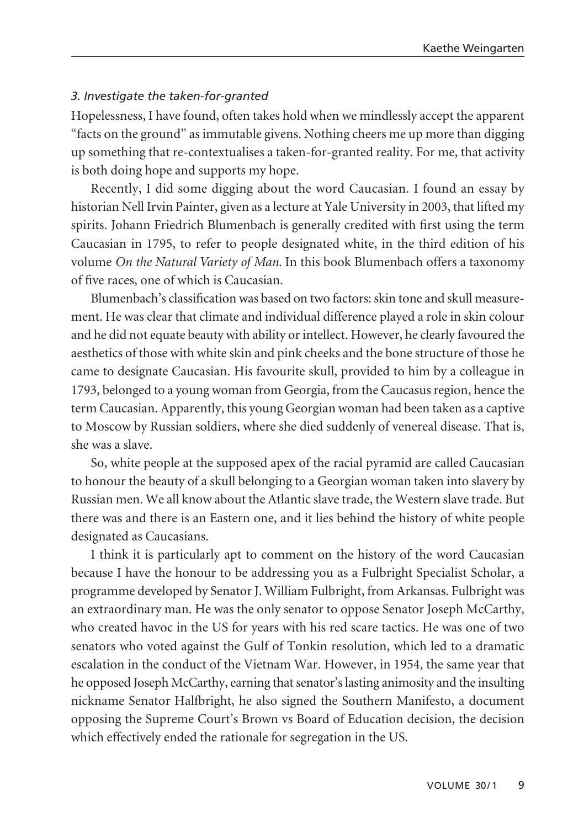#### *3. Investigate the taken-for-granted*

Hopelessness, I have found, often takes hold when we mindlessly accept the apparent "facts on the ground" as immutable givens. Nothing cheers me up more than digging up something that re-contextualises a taken-for-granted reality. For me, that activity is both doing hope and supports my hope.

Recently, I did some digging about the word Caucasian. I found an essay by historian Nell Irvin Painter, given as a lecture at Yale University in 2003, that lifted my spirits. Johann Friedrich Blumenbach is generally credited with first using the term Caucasian in 1795, to refer to people designated white, in the third edition of his volume *On the Natural Variety of Man.* In this book Blumenbach offers a taxonomy of five races, one of which is Caucasian.

Blumenbach's classification was based on two factors: skin tone and skull measure ment. He was clear that climate and individual difference played a role in skin colour and he did not equate beauty with ability or intellect. However, he clearly favoured the aesthetics of those with white skin and pink cheeks and the bone structure of those he came to designate Caucasian. His favourite skull, provided to him by a colleague in 1793, belonged to a young woman from Georgia, from the Caucasus region, hence the term Caucasian. Apparently, this young Georgian woman had been taken as a captive to Moscow by Russian soldiers, where she died suddenly of venereal disease. That is, she was a slave.

So, white people at the supposed apex of the racial pyramid are called Caucasian to honour the beauty of a skull belonging to a Georgian woman taken into slavery by Russian men. We all know about the Atlantic slave trade, the Western slave trade. But there was and there is an Eastern one, and it lies behind the history of white people designated as Caucasians.

I think it is particularly apt to comment on the history of the word Caucasian because I have the honour to be addressing you as a Fulbright Specialist Scholar, a programme developed by Senator J. William Fulbright, from Arkansas. Fulbright was an extraordinary man. He was the only senator to oppose Senator Joseph McCarthy, who created havoc in the US for years with his red scare tactics. He was one of two senators who voted against the Gulf of Tonkin resolution, which led to a dramatic escalation in the conduct of the Vietnam War. However, in 1954, the same year that he opposed Joseph McCarthy, earning that senator's lasting animosity and the insulting nickname Senator Halfbright, he also signed the Southern Manifesto, a document opposing the Supreme Court's Brown vs Board of Education decision, the decision which effectively ended the rationale for segregation in the US.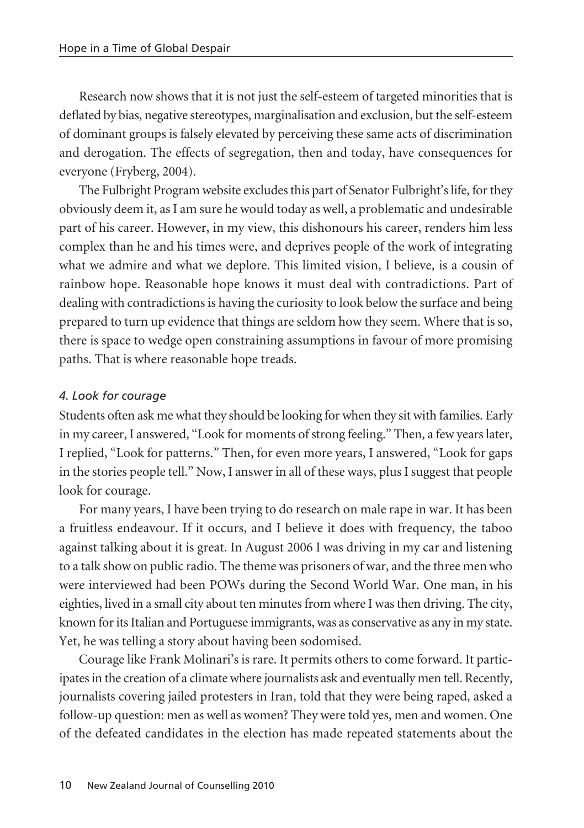Research now shows that it is not just the self-esteem of targeted minorities that is deflated by bias, negative stereotypes, marginalisation and exclusion, but the self-esteem of dominant groups is falsely elevated by perceiving these same acts of discrimination and derogation. The effects of segregation, then and today, have consequences for everyone (Fryberg, 2004).

The Fulbright Program website excludes this part of Senator Fulbright's life, for they obviously deem it, as I am sure he would today as well, a problematic and undesirable part of his career. However, in my view, this dishonours his career, renders him less complex than he and his times were, and deprives people of the work of integrating what we admire and what we deplore. This limited vision, I believe, is a cousin of rainbow hope. Reasonable hope knows it must deal with contradictions. Part of dealing with contradictions is having the curiosity to look below the surface and being prepared to turn up evidence that things are seldom how they seem. Where that is so, there is space to wedge open constraining assumptions in favour of more promising paths. That is where reasonable hope treads.

# *4. Look for courage*

Students often ask me what they should be looking for when they sit with families. Early in my career, I answered, "Look for moments of strong feeling." Then, a few years later, I replied, "Look for patterns." Then, for even more years, I answered, "Look for gaps in the stories people tell." Now, I answer in all of these ways, plus I suggest that people look for courage.

For many years, I have been trying to do research on male rape in war. It has been a fruitless endeavour. If it occurs, and I believe it does with frequency, the taboo against talking about it is great. In August 2006 I was driving in my car and listening to a talk show on public radio. The theme was prisoners of war, and the three men who were interviewed had been POWs during the Second World War. One man, in his eighties, lived in a small city about ten minutes from where I was then driving. The city, known for its Italian and Portuguese immigrants, was as conservative as any in my state. Yet, he was telling a story about having been sodomised.

Courage like Frank Molinari's is rare. It permits others to come forward. It participates in the creation of a climate where journalists ask and eventually men tell. Recently, journalists covering jailed protesters in Iran, told that they were being raped, asked a follow-up question: men as well as women? They were told yes, men and women. One of the defeated candidates in the election has made repeated statements about the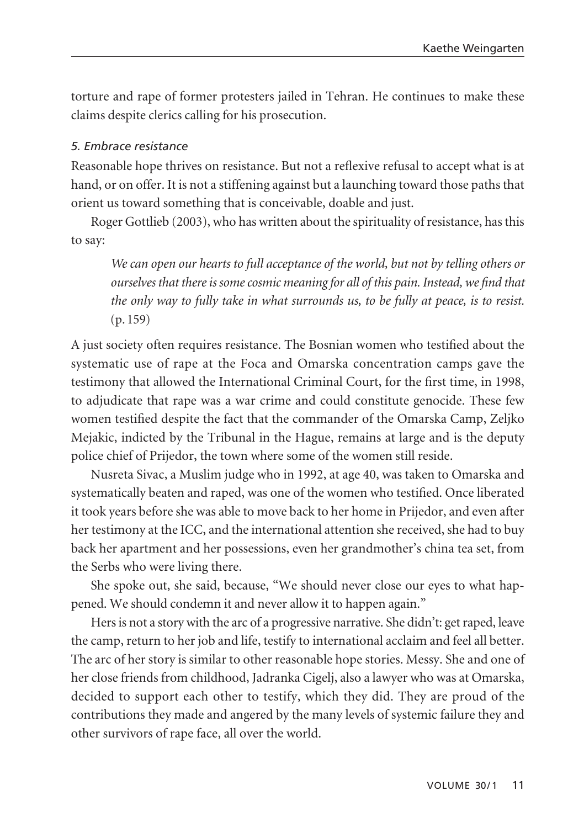torture and rape of former protesters jailed in Tehran. He continues to make these claims despite clerics calling for his prosecution.

## *5. Embrace resistance*

Reasonable hope thrives on resistance. But not a reflexive refusal to accept what is at hand, or on offer. It is not a stiffening against but a launching toward those paths that orient us toward something that is conceivable, doable and just.

Roger Gottlieb (2003), who has written about the spirituality of resistance, has this to say:

*We can open our hearts to full acceptance of the world, but not by telling others or ourselves that there is some cosmic meaning for all of this pain. Instead, we find that the only way to fully take in what surrounds us, to be fully at peace, is to resist.* (p. 159)

A just society often requires resistance. The Bosnian women who testified about the systematic use of rape at the Foca and Omarska concentration camps gave the testimony that allowed the International Criminal Court, for the first time, in 1998, to adjudicate that rape was a war crime and could constitute genocide. These few women testified despite the fact that the commander of the Omarska Camp, Zeljko Mejakic, indicted by the Tribunal in the Hague, remains at large and is the deputy police chief of Prijedor, the town where some of the women still reside.

Nusreta Sivac, a Muslim judge who in 1992, at age 40, was taken to Omarska and systematically beaten and raped, was one of the women who testified. Once liberated it took years before she was able to move back to her home in Prijedor, and even after her testimony at the ICC, and the international attention she received, she had to buy back her apartment and her possessions, even her grandmother's china tea set, from the Serbs who were living there.

She spoke out, she said, because, "We should never close our eyes to what happened. We should condemn it and never allow it to happen again."

Hers is not a story with the arc of a progressive narrative. She didn't: get raped, leave the camp, return to her job and life, testify to international acclaim and feel all better. The arc of her story is similar to other reasonable hope stories. Messy. She and one of her close friends from childhood, Jadranka Cigelj, also a lawyer who was at Omarska, decided to support each other to testify, which they did. They are proud of the contributions they made and angered by the many levels of systemic failure they and other survivors of rape face, all over the world.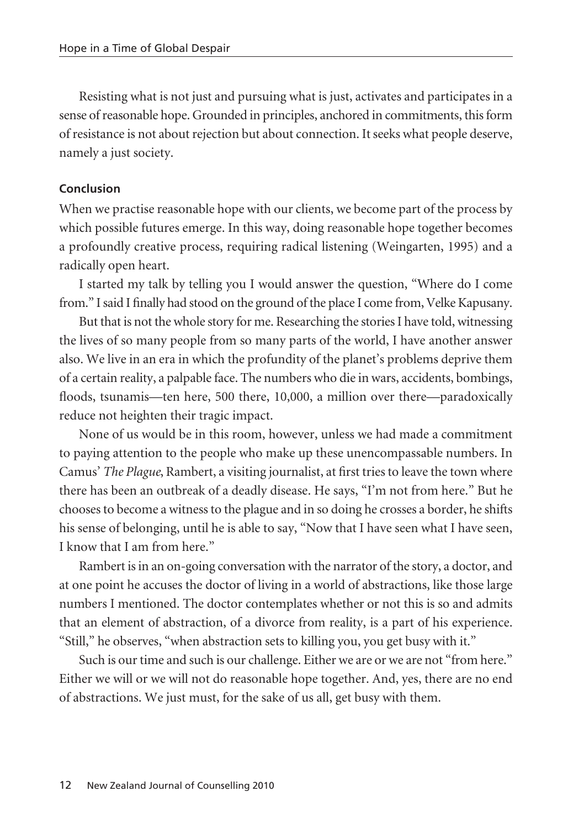Resisting what is not just and pursuing what is just, activates and participates in a sense of reasonable hope. Grounded in principles, anchored in commitments, this form of resistance is not about rejection but about connection. It seeks what people deserve, namely a just society.

#### **Conclusion**

When we practise reasonable hope with our clients, we become part of the process by which possible futures emerge. In this way, doing reasonable hope together becomes a profoundly creative process, requiring radical listening (Weingarten, 1995) and a radically open heart.

I started my talk by telling you I would answer the question, "Where do I come from." I said I finally had stood on the ground of the place I come from, Velke Kapusany.

But that is not the whole story for me. Researching the stories I have told, witnessing the lives of so many people from so many parts of the world, I have another answer also. We live in an era in which the profundity of the planet's problems deprive them of a certain reality, a palpable face. The numbers who die in wars, accidents, bombings, floods, tsunamis—ten here, 500 there, 10,000, a million over there—paradoxically reduce not heighten their tragic impact.

None of us would be in this room, however, unless we had made a commitment to paying attention to the people who make up these unencompassable numbers. In Camus' *The Plague*, Rambert, a visiting journalist, at first tries to leave the town where there has been an outbreak of a deadly disease. He says, "I'm not from here." But he chooses to become a witness to the plague and in so doing he crosses a border, he shifts his sense of belonging, until he is able to say, "Now that I have seen what I have seen, I know that I am from here."

Rambert is in an on-going conversation with the narrator of the story, a doctor, and at one point he accuses the doctor of living in a world of abstractions, like those large numbers I mentioned. The doctor contemplates whether or not this is so and admits that an element of abstraction, of a divorce from reality, is a part of his experience. "Still," he observes, "when abstraction sets to killing you, you get busy with it."

Such is our time and such is our challenge. Either we are or we are not "from here." Either we will or we will not do reasonable hope together. And, yes, there are no end of abstractions. We just must, for the sake of us all, get busy with them.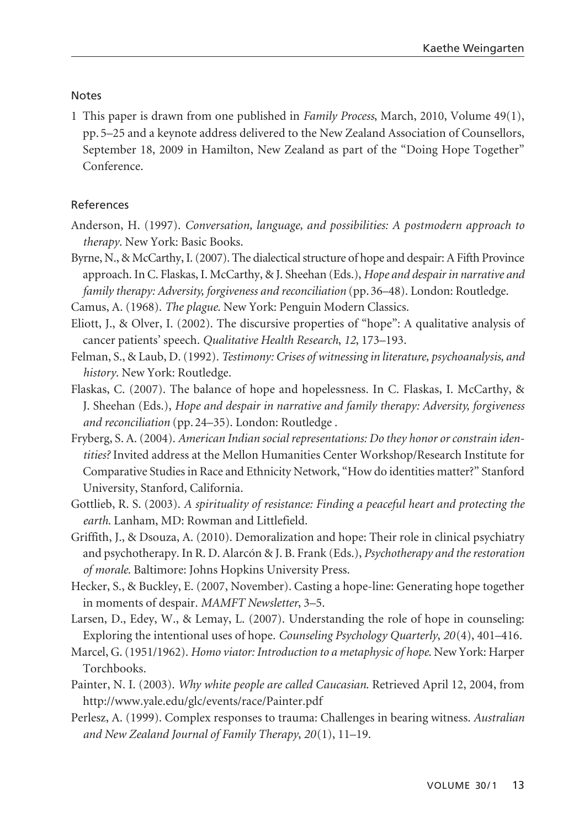#### **Notes**

1 This paper is drawn from one published in *Family Process*, March, 2010, Volume 49(1), pp. 5–25 and a keynote address delivered to the New Zealand Association of Counsellors, September 18, 2009 in Hamilton, New Zealand as part of the "Doing Hope Together" Conference.

#### References

- Anderson, H. (1997). *Conversation, language, and possibilities: A postmodern approach to therapy*. New York: Basic Books.
- Byrne, N., & McCarthy, I. (2007). The dialectical structure of hope and despair: A Fifth Province approach. In C. Flaskas, I. McCarthy, & J. Sheehan (Eds.), *Hope and despair in narrative and family therapy: Adversity, forgiveness and reconciliation* (pp. 36–48). London: Routledge.

Camus, A. (1968). *The plague*. New York: Penguin Modern Classics.

- Eliott, J., & Olver, I. (2002). The discursive properties of "hope": A qualitative analysis of cancer patients' speech. *Qualitative Health Research*, *12*, 173–193.
- Felman, S., & Laub, D. (1992). *Testimony: Crises of witnessing in literature, psychoanalysis, and history*. New York: Routledge.
- Flaskas, C. (2007). The balance of hope and hopelessness. In C. Flaskas, I. McCarthy, & J. Sheehan (Eds.), *Hope and despair in narrative and family therapy: Adversity, forgiveness and reconciliation* (pp. 24–35). London: Routledge .
- Fryberg, S. A. (2004). *American Indian social representations: Do they honor or constrain identities?* Invited address at the Mellon Humanities Center Workshop/Research Institute for Comparative Studies in Race and Ethnicity Network, "How do identities matter?" Stanford University, Stanford, California.
- Gottlieb, R. S. (2003). *A spirituality of resistance: Finding a peaceful heart and protecting the earth*. Lanham, MD: Rowman and Littlefield.
- Griffith, J., & Dsouza, A. (2010). Demoralization and hope: Their role in clinical psychiatry and psychotherapy. In R. D. Alarcón & J. B. Frank (Eds.), *Psychotherapy and the restoration of morale*. Baltimore: Johns Hopkins University Press.
- Hecker, S., & Buckley, E. (2007, November). Casting a hope-line: Generating hope together in moments of despair. *MAMFT Newsletter*, 3–5.
- Larsen, D., Edey, W., & Lemay, L. (2007). Understanding the role of hope in counseling: Exploring the intentional uses of hope. *Counseling Psychology Quarterly*, *20*(4), 401–416.
- Marcel, G. (1951/1962). *Homo viator: Introduction to a metaphysic of hope*. New York: Harper Torchbooks.
- Painter, N. I. (2003). *Why white people are called Caucasian*. Retrieved April 12, 2004, from http://www.yale.edu/glc/events/race/Painter.pdf
- Perlesz, A. (1999). Complex responses to trauma: Challenges in bearing witness. *Australian and New Zealand Journal of Family Therapy*, *20*(1), 11–19.